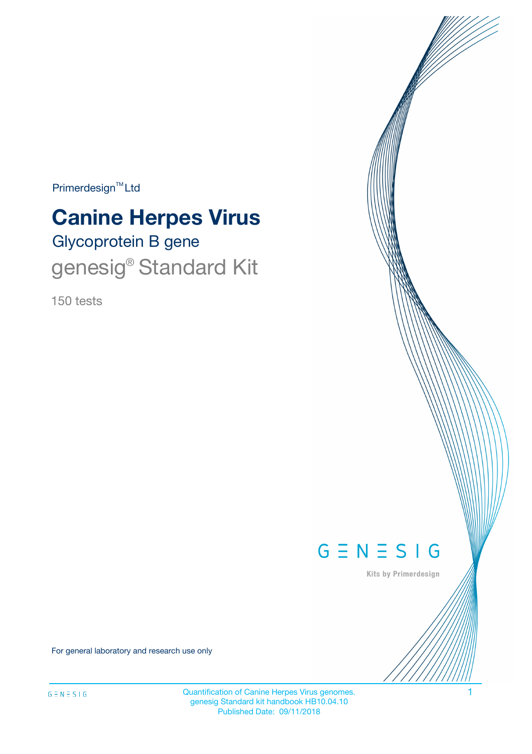$Primerdesign^{TM}$ Ltd

# Glycoprotein B gene **Canine Herpes Virus** genesig<sup>®</sup> Standard Kit

150 tests



Kits by Primerdesign

For general laboratory and research use only

Quantification of Canine Herpes Virus genomes. 1 genesig Standard kit handbook HB10.04.10 Published Date: 09/11/2018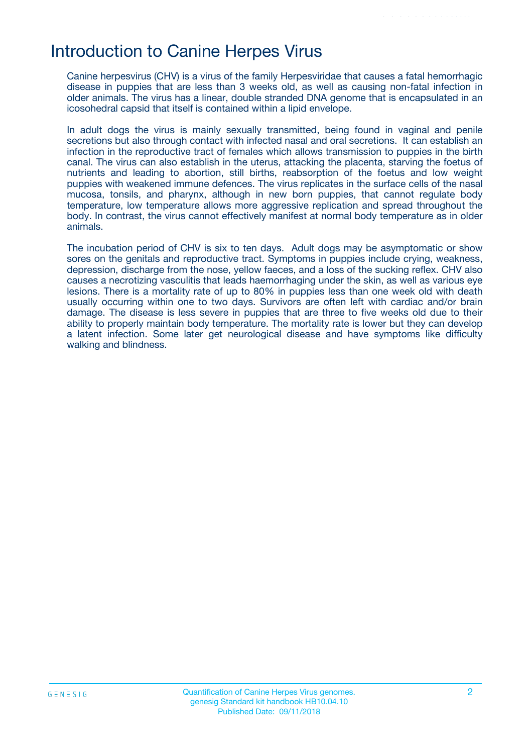## Introduction to Canine Herpes Virus

Canine herpesvirus (CHV) is a virus of the family Herpesviridae that causes a fatal hemorrhagic disease in puppies that are less than 3 weeks old, as well as causing non-fatal infection in older animals. The virus has a linear, double stranded DNA genome that is encapsulated in an icosohedral capsid that itself is contained within a lipid envelope.

In adult dogs the virus is mainly sexually transmitted, being found in vaginal and penile secretions but also through contact with infected nasal and oral secretions. It can establish an infection in the reproductive tract of females which allows transmission to puppies in the birth canal. The virus can also establish in the uterus, attacking the placenta, starving the foetus of nutrients and leading to abortion, still births, reabsorption of the foetus and low weight puppies with weakened immune defences. The virus replicates in the surface cells of the nasal mucosa, tonsils, and pharynx, although in new born puppies, that cannot regulate body temperature, low temperature allows more aggressive replication and spread throughout the body. In contrast, the virus cannot effectively manifest at normal body temperature as in older animals.

The incubation period of CHV is six to ten days. Adult dogs may be asymptomatic or show sores on the genitals and reproductive tract. Symptoms in puppies include crying, weakness, depression, discharge from the nose, yellow faeces, and a loss of the sucking reflex. CHV also causes a necrotizing vasculitis that leads haemorrhaging under the skin, as well as various eye lesions. There is a mortality rate of up to 80% in puppies less than one week old with death usually occurring within one to two days. Survivors are often left with cardiac and/or brain damage. The disease is less severe in puppies that are three to five weeks old due to their ability to properly maintain body temperature. The mortality rate is lower but they can develop a latent infection. Some later get neurological disease and have symptoms like difficulty walking and blindness.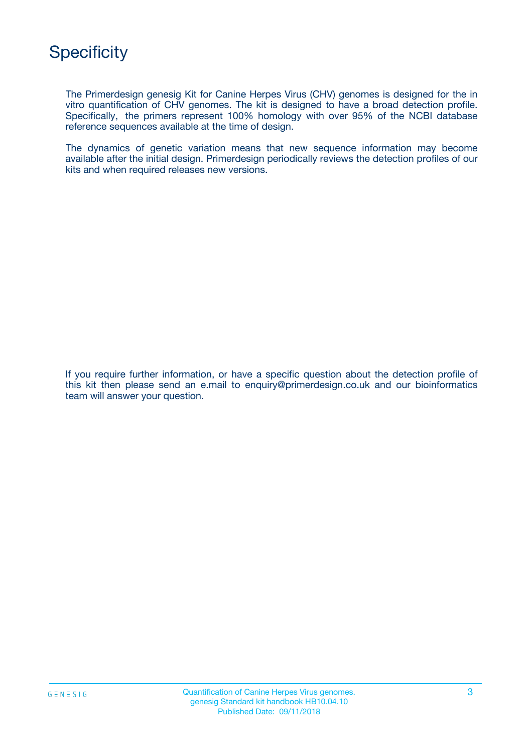The Primerdesign genesig Kit for Canine Herpes Virus (CHV) genomes is designed for the in vitro quantification of CHV genomes. The kit is designed to have a broad detection profile. Specifically, the primers represent 100% homology with over 95% of the NCBI database reference sequences available at the time of design.

The dynamics of genetic variation means that new sequence information may become available after the initial design. Primerdesign periodically reviews the detection profiles of our kits and when required releases new versions.

If you require further information, or have a specific question about the detection profile of this kit then please send an e.mail to enquiry@primerdesign.co.uk and our bioinformatics team will answer your question.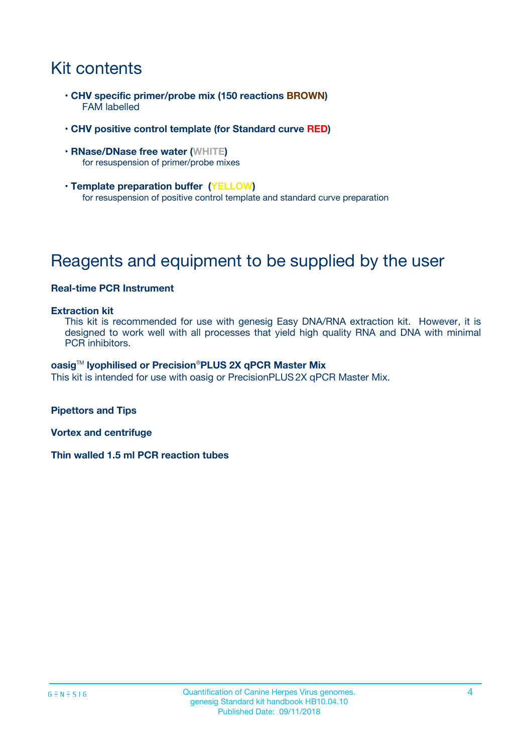# Kit contents

- **CHV specific primer/probe mix (150 reactions BROWN)** FAM labelled
- **CHV positive control template (for Standard curve RED)**
- **RNase/DNase free water (WHITE)** for resuspension of primer/probe mixes
- **Template preparation buffer (YELLOW)** for resuspension of positive control template and standard curve preparation

# Reagents and equipment to be supplied by the user

#### **Real-time PCR Instrument**

#### **Extraction kit**

This kit is recommended for use with genesig Easy DNA/RNA extraction kit. However, it is designed to work well with all processes that yield high quality RNA and DNA with minimal PCR inhibitors.

#### **oasig**TM **lyophilised or Precision**®**PLUS 2X qPCR Master Mix**

This kit is intended for use with oasig or PrecisionPLUS2X qPCR Master Mix.

**Pipettors and Tips**

**Vortex and centrifuge**

**Thin walled 1.5 ml PCR reaction tubes**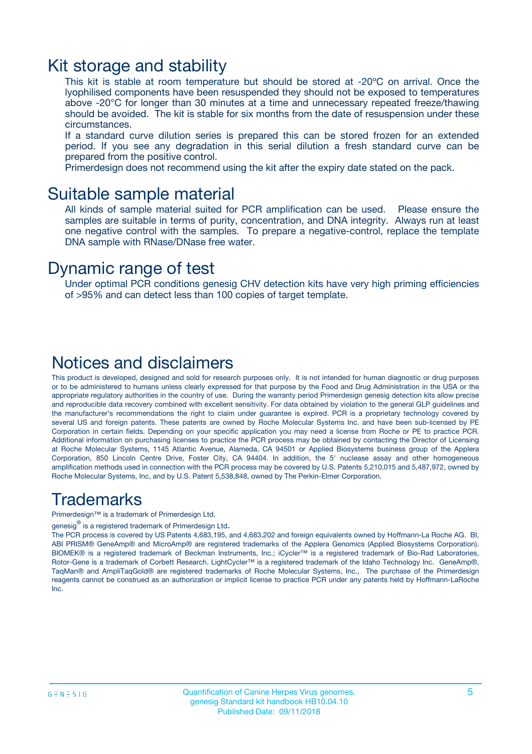### Kit storage and stability

This kit is stable at room temperature but should be stored at -20ºC on arrival. Once the lyophilised components have been resuspended they should not be exposed to temperatures above -20°C for longer than 30 minutes at a time and unnecessary repeated freeze/thawing should be avoided. The kit is stable for six months from the date of resuspension under these circumstances.

If a standard curve dilution series is prepared this can be stored frozen for an extended period. If you see any degradation in this serial dilution a fresh standard curve can be prepared from the positive control.

Primerdesign does not recommend using the kit after the expiry date stated on the pack.

### Suitable sample material

All kinds of sample material suited for PCR amplification can be used. Please ensure the samples are suitable in terms of purity, concentration, and DNA integrity. Always run at least one negative control with the samples. To prepare a negative-control, replace the template DNA sample with RNase/DNase free water.

### Dynamic range of test

Under optimal PCR conditions genesig CHV detection kits have very high priming efficiencies of >95% and can detect less than 100 copies of target template.

### Notices and disclaimers

This product is developed, designed and sold for research purposes only. It is not intended for human diagnostic or drug purposes or to be administered to humans unless clearly expressed for that purpose by the Food and Drug Administration in the USA or the appropriate regulatory authorities in the country of use. During the warranty period Primerdesign genesig detection kits allow precise and reproducible data recovery combined with excellent sensitivity. For data obtained by violation to the general GLP guidelines and the manufacturer's recommendations the right to claim under guarantee is expired. PCR is a proprietary technology covered by several US and foreign patents. These patents are owned by Roche Molecular Systems Inc. and have been sub-licensed by PE Corporation in certain fields. Depending on your specific application you may need a license from Roche or PE to practice PCR. Additional information on purchasing licenses to practice the PCR process may be obtained by contacting the Director of Licensing at Roche Molecular Systems, 1145 Atlantic Avenue, Alameda, CA 94501 or Applied Biosystems business group of the Applera Corporation, 850 Lincoln Centre Drive, Foster City, CA 94404. In addition, the 5' nuclease assay and other homogeneous amplification methods used in connection with the PCR process may be covered by U.S. Patents 5,210,015 and 5,487,972, owned by Roche Molecular Systems, Inc, and by U.S. Patent 5,538,848, owned by The Perkin-Elmer Corporation.

### Trademarks

Primerdesign™ is a trademark of Primerdesign Ltd.

genesig $^\circledR$  is a registered trademark of Primerdesign Ltd.

The PCR process is covered by US Patents 4,683,195, and 4,683,202 and foreign equivalents owned by Hoffmann-La Roche AG. BI, ABI PRISM® GeneAmp® and MicroAmp® are registered trademarks of the Applera Genomics (Applied Biosystems Corporation). BIOMEK® is a registered trademark of Beckman Instruments, Inc.; iCycler™ is a registered trademark of Bio-Rad Laboratories, Rotor-Gene is a trademark of Corbett Research. LightCycler™ is a registered trademark of the Idaho Technology Inc. GeneAmp®, TaqMan® and AmpliTaqGold® are registered trademarks of Roche Molecular Systems, Inc., The purchase of the Primerdesign reagents cannot be construed as an authorization or implicit license to practice PCR under any patents held by Hoffmann-LaRoche Inc.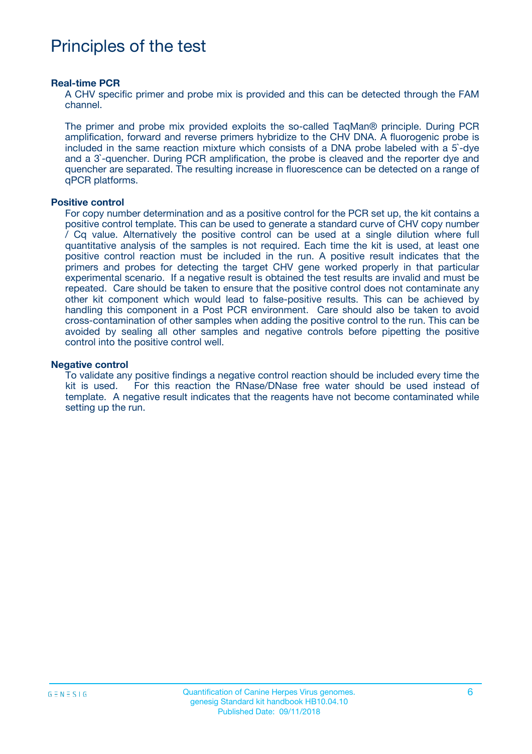# Principles of the test

#### **Real-time PCR**

A CHV specific primer and probe mix is provided and this can be detected through the FAM channel.

The primer and probe mix provided exploits the so-called TaqMan® principle. During PCR amplification, forward and reverse primers hybridize to the CHV DNA. A fluorogenic probe is included in the same reaction mixture which consists of a DNA probe labeled with a 5`-dye and a 3`-quencher. During PCR amplification, the probe is cleaved and the reporter dye and quencher are separated. The resulting increase in fluorescence can be detected on a range of qPCR platforms.

#### **Positive control**

For copy number determination and as a positive control for the PCR set up, the kit contains a positive control template. This can be used to generate a standard curve of CHV copy number / Cq value. Alternatively the positive control can be used at a single dilution where full quantitative analysis of the samples is not required. Each time the kit is used, at least one positive control reaction must be included in the run. A positive result indicates that the primers and probes for detecting the target CHV gene worked properly in that particular experimental scenario. If a negative result is obtained the test results are invalid and must be repeated. Care should be taken to ensure that the positive control does not contaminate any other kit component which would lead to false-positive results. This can be achieved by handling this component in a Post PCR environment. Care should also be taken to avoid cross-contamination of other samples when adding the positive control to the run. This can be avoided by sealing all other samples and negative controls before pipetting the positive control into the positive control well.

#### **Negative control**

To validate any positive findings a negative control reaction should be included every time the kit is used. For this reaction the RNase/DNase free water should be used instead of template. A negative result indicates that the reagents have not become contaminated while setting up the run.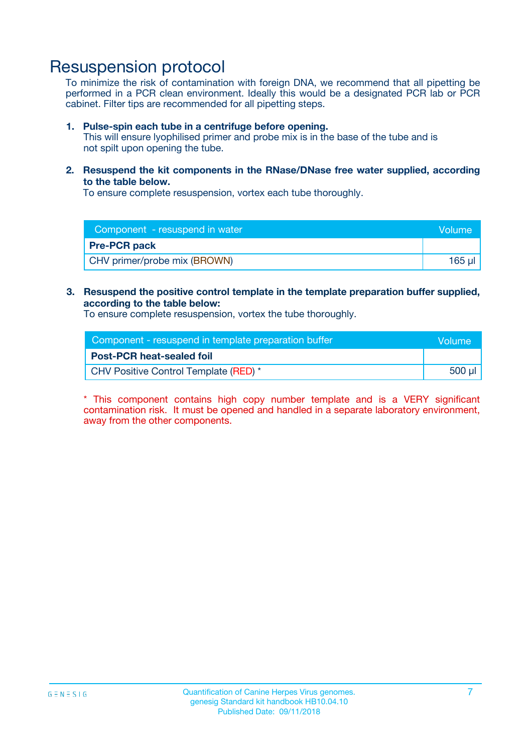## Resuspension protocol

To minimize the risk of contamination with foreign DNA, we recommend that all pipetting be performed in a PCR clean environment. Ideally this would be a designated PCR lab or PCR cabinet. Filter tips are recommended for all pipetting steps.

#### **1. Pulse-spin each tube in a centrifuge before opening.**

This will ensure lyophilised primer and probe mix is in the base of the tube and is not spilt upon opening the tube.

**2. Resuspend the kit components in the RNase/DNase free water supplied, according to the table below.**

To ensure complete resuspension, vortex each tube thoroughly.

| Component - resuspend in water<br><b>Nolume</b> |             |
|-------------------------------------------------|-------------|
| <b>Pre-PCR pack</b>                             |             |
| CHV primer/probe mix (BROWN)                    | $165$ $\mu$ |

**3. Resuspend the positive control template in the template preparation buffer supplied, according to the table below:**

To ensure complete resuspension, vortex the tube thoroughly.

| Component - resuspend in template preparation buffer |         |  |
|------------------------------------------------------|---------|--|
| <b>Post-PCR heat-sealed foil</b>                     |         |  |
| CHV Positive Control Template (RED) *                | .500 ul |  |

\* This component contains high copy number template and is a VERY significant contamination risk. It must be opened and handled in a separate laboratory environment, away from the other components.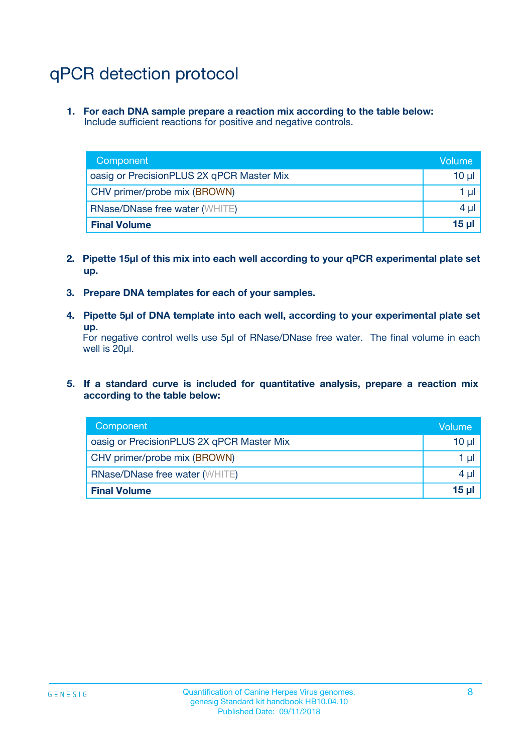# qPCR detection protocol

**1. For each DNA sample prepare a reaction mix according to the table below:** Include sufficient reactions for positive and negative controls.

| Component                                 | Volume          |
|-------------------------------------------|-----------------|
| oasig or PrecisionPLUS 2X qPCR Master Mix | 10 $\mu$        |
| CHV primer/probe mix (BROWN)              | 1 $\mu$         |
| <b>RNase/DNase free water (WHITE)</b>     | $4 \mu$         |
| <b>Final Volume</b>                       | 15 <sub>µ</sub> |

- **2. Pipette 15µl of this mix into each well according to your qPCR experimental plate set up.**
- **3. Prepare DNA templates for each of your samples.**
- **4. Pipette 5µl of DNA template into each well, according to your experimental plate set up.**

For negative control wells use 5µl of RNase/DNase free water. The final volume in each well is 20µl.

**5. If a standard curve is included for quantitative analysis, prepare a reaction mix according to the table below:**

| Component                                 | Volume          |
|-------------------------------------------|-----------------|
| oasig or PrecisionPLUS 2X qPCR Master Mix | 10 µl           |
| CHV primer/probe mix (BROWN)              | 1 µI            |
| <b>RNase/DNase free water (WHITE)</b>     | $4 \mu$         |
| <b>Final Volume</b>                       | 15 <sub>µ</sub> |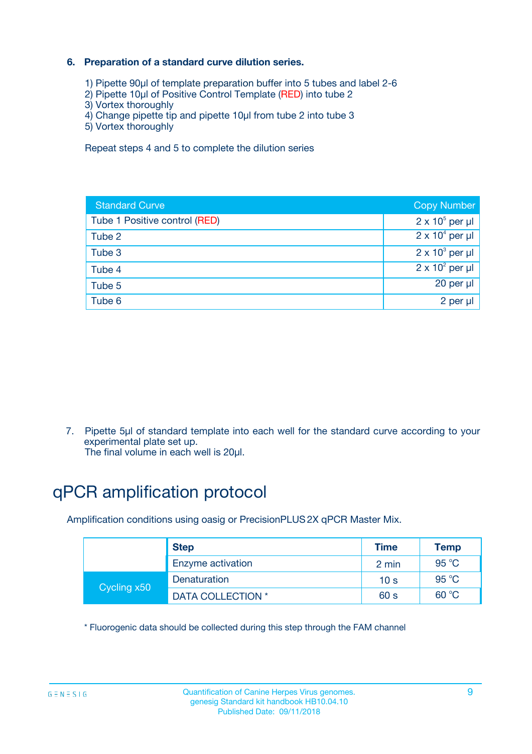### **6. Preparation of a standard curve dilution series.**

- 1) Pipette 90µl of template preparation buffer into 5 tubes and label 2-6
- 2) Pipette 10µl of Positive Control Template (RED) into tube 2
- 3) Vortex thoroughly
- 4) Change pipette tip and pipette 10µl from tube 2 into tube 3
- 5) Vortex thoroughly

Repeat steps 4 and 5 to complete the dilution series

| <b>Standard Curve</b>         | <b>Copy Number</b>     |
|-------------------------------|------------------------|
| Tube 1 Positive control (RED) | $2 \times 10^5$ per µl |
| Tube 2                        | $2 \times 10^4$ per µl |
| Tube 3                        | $2 \times 10^3$ per µl |
| Tube 4                        | $2 \times 10^2$ per µl |
| Tube 5                        | 20 per µl              |
| Tube 6                        | 2 per ul               |

7. Pipette 5µl of standard template into each well for the standard curve according to your experimental plate set up.

The final volume in each well is 20µl.

# qPCR amplification protocol

Amplification conditions using oasig or PrecisionPLUS2X qPCR Master Mix.

|             | <b>Step</b>       | <b>Time</b>     | Temp    |
|-------------|-------------------|-----------------|---------|
|             | Enzyme activation | 2 min           | 95 °C   |
| Cycling x50 | Denaturation      | 10 <sub>s</sub> | 95 $°C$ |
|             | DATA COLLECTION * | 60 s            | 60 °C   |

\* Fluorogenic data should be collected during this step through the FAM channel